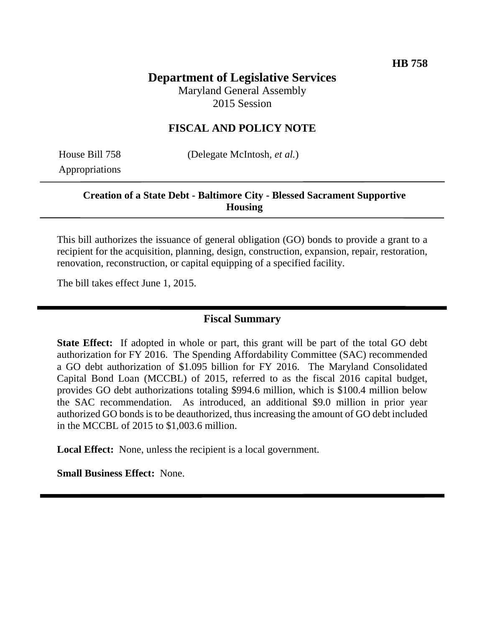# **Department of Legislative Services**

Maryland General Assembly 2015 Session

### **FISCAL AND POLICY NOTE**

Appropriations

House Bill 758 (Delegate McIntosh, *et al.*)

### **Creation of a State Debt - Baltimore City - Blessed Sacrament Supportive Housing**

This bill authorizes the issuance of general obligation (GO) bonds to provide a grant to a recipient for the acquisition, planning, design, construction, expansion, repair, restoration, renovation, reconstruction, or capital equipping of a specified facility.

The bill takes effect June 1, 2015.

### **Fiscal Summary**

**State Effect:** If adopted in whole or part, this grant will be part of the total GO debt authorization for FY 2016. The Spending Affordability Committee (SAC) recommended a GO debt authorization of \$1.095 billion for FY 2016. The Maryland Consolidated Capital Bond Loan (MCCBL) of 2015, referred to as the fiscal 2016 capital budget, provides GO debt authorizations totaling \$994.6 million, which is \$100.4 million below the SAC recommendation. As introduced, an additional \$9.0 million in prior year authorized GO bonds is to be deauthorized, thus increasing the amount of GO debt included in the MCCBL of 2015 to \$1,003.6 million.

**Local Effect:** None, unless the recipient is a local government.

**Small Business Effect:** None.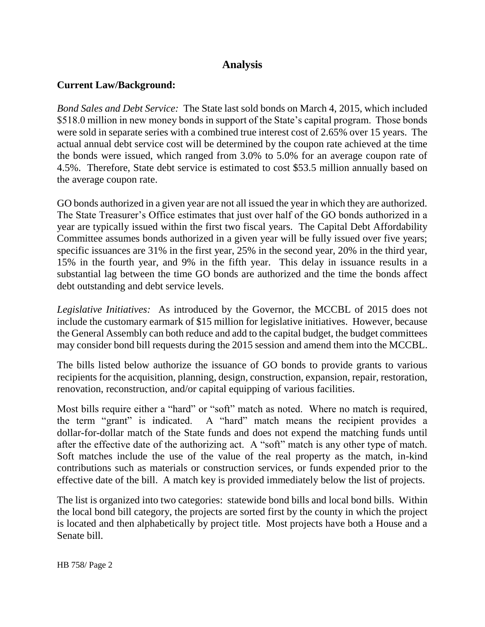## **Analysis**

### **Current Law/Background:**

*Bond Sales and Debt Service:* The State last sold bonds on March 4, 2015, which included \$518.0 million in new money bonds in support of the State's capital program. Those bonds were sold in separate series with a combined true interest cost of 2.65% over 15 years. The actual annual debt service cost will be determined by the coupon rate achieved at the time the bonds were issued, which ranged from 3.0% to 5.0% for an average coupon rate of 4.5%. Therefore, State debt service is estimated to cost \$53.5 million annually based on the average coupon rate.

GO bonds authorized in a given year are not all issued the year in which they are authorized. The State Treasurer's Office estimates that just over half of the GO bonds authorized in a year are typically issued within the first two fiscal years. The Capital Debt Affordability Committee assumes bonds authorized in a given year will be fully issued over five years; specific issuances are 31% in the first year, 25% in the second year, 20% in the third year, 15% in the fourth year, and 9% in the fifth year. This delay in issuance results in a substantial lag between the time GO bonds are authorized and the time the bonds affect debt outstanding and debt service levels.

*Legislative Initiatives:* As introduced by the Governor, the MCCBL of 2015 does not include the customary earmark of \$15 million for legislative initiatives. However, because the General Assembly can both reduce and add to the capital budget, the budget committees may consider bond bill requests during the 2015 session and amend them into the MCCBL.

The bills listed below authorize the issuance of GO bonds to provide grants to various recipients for the acquisition, planning, design, construction, expansion, repair, restoration, renovation, reconstruction, and/or capital equipping of various facilities.

Most bills require either a "hard" or "soft" match as noted. Where no match is required, the term "grant" is indicated. A "hard" match means the recipient provides a dollar-for-dollar match of the State funds and does not expend the matching funds until after the effective date of the authorizing act. A "soft" match is any other type of match. Soft matches include the use of the value of the real property as the match, in-kind contributions such as materials or construction services, or funds expended prior to the effective date of the bill. A match key is provided immediately below the list of projects.

The list is organized into two categories: statewide bond bills and local bond bills. Within the local bond bill category, the projects are sorted first by the county in which the project is located and then alphabetically by project title. Most projects have both a House and a Senate bill.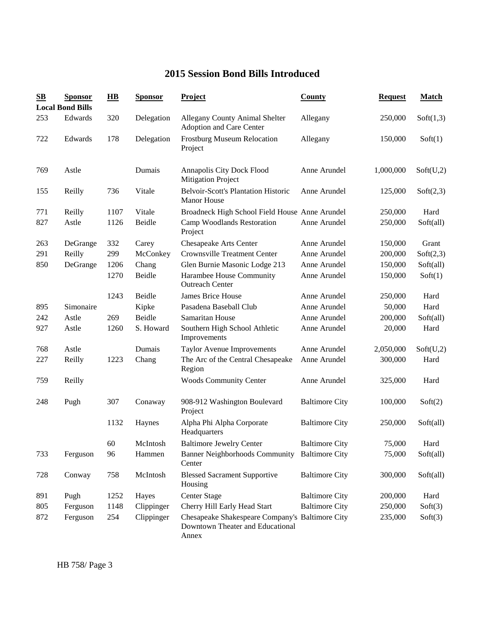## **2015 Session Bond Bills Introduced**

| $\mathbf{S}\mathbf{B}$ | <b>Sponsor</b><br><b>Local Bond Bills</b> | $\overline{H}$ | <b>Sponsor</b> | <b>Project</b>                                                                               | <b>County</b>         | <b>Request</b> | <b>Match</b> |
|------------------------|-------------------------------------------|----------------|----------------|----------------------------------------------------------------------------------------------|-----------------------|----------------|--------------|
| 253                    | Edwards                                   | 320            | Delegation     | <b>Allegany County Animal Shelter</b><br>Adoption and Care Center                            | Allegany              | 250,000        | Soft(1,3)    |
| 722                    | Edwards                                   | 178            | Delegation     | <b>Frostburg Museum Relocation</b><br>Project                                                | Allegany              | 150,000        | Soft(1)      |
| 769                    | Astle                                     |                | Dumais         | Annapolis City Dock Flood<br><b>Mitigation Project</b>                                       | Anne Arundel          | 1,000,000      | Soft(U,2)    |
| 155                    | Reilly                                    | 736            | Vitale         | <b>Belvoir-Scott's Plantation Historic</b><br><b>Manor House</b>                             | Anne Arundel          | 125,000        | Soft(2,3)    |
| 771                    | Reilly                                    | 1107           | Vitale         | Broadneck High School Field House Anne Arundel                                               |                       | 250,000        | Hard         |
| 827                    | Astle                                     | 1126           | Beidle         | Camp Woodlands Restoration<br>Project                                                        | Anne Arundel          | 250,000        | Soft(all)    |
| 263                    | DeGrange                                  | 332            | Carey          | <b>Chesapeake Arts Center</b>                                                                | Anne Arundel          | 150,000        | Grant        |
| 291                    | Reilly                                    | 299            | McConkey       | <b>Crownsville Treatment Center</b>                                                          | Anne Arundel          | 200,000        | Soft(2,3)    |
| 850                    | DeGrange                                  | 1206           | Chang          | Glen Burnie Masonic Lodge 213                                                                | Anne Arundel          | 150,000        | Soft(all)    |
|                        |                                           | 1270           | Beidle         | Harambee House Community<br><b>Outreach Center</b>                                           | Anne Arundel          | 150,000        | Soft(1)      |
|                        |                                           | 1243           | Beidle         | James Brice House                                                                            | Anne Arundel          | 250,000        | Hard         |
| 895                    | Simonaire                                 |                | Kipke          | Pasadena Baseball Club                                                                       | Anne Arundel          | 50,000         | Hard         |
| 242                    | Astle                                     | 269            | Beidle         | Samaritan House                                                                              | Anne Arundel          | 200,000        | Soft(all)    |
| 927                    | Astle                                     | 1260           | S. Howard      | Southern High School Athletic<br>Improvements                                                | Anne Arundel          | 20,000         | Hard         |
| 768                    | Astle                                     |                | Dumais         | <b>Taylor Avenue Improvements</b>                                                            | Anne Arundel          | 2,050,000      | Soft(U,2)    |
| 227                    | Reilly                                    | 1223           | Chang          | The Arc of the Central Chesapeake<br>Region                                                  | Anne Arundel          | 300,000        | Hard         |
| 759                    | Reilly                                    |                |                | <b>Woods Community Center</b>                                                                | Anne Arundel          | 325,000        | Hard         |
| 248                    | Pugh                                      | 307            | Conaway        | 908-912 Washington Boulevard<br>Project                                                      | <b>Baltimore City</b> | 100,000        | Soft(2)      |
|                        |                                           | 1132           | Haynes         | Alpha Phi Alpha Corporate<br>Headquarters                                                    | <b>Baltimore City</b> | 250,000        | Soft(all)    |
|                        |                                           | 60             | McIntosh       | <b>Baltimore Jewelry Center</b>                                                              | <b>Baltimore City</b> | 75,000         | Hard         |
| 733                    | Ferguson                                  | 96             | Hammen         | Banner Neighborhoods Community Baltimore City<br>Center                                      |                       | 75,000         | Soft(all)    |
| 728                    | Conway                                    | 758            | McIntosh       | <b>Blessed Sacrament Supportive</b><br>Housing                                               | <b>Baltimore City</b> | 300,000        | Soft(all)    |
| 891                    | Pugh                                      | 1252           | Hayes          | <b>Center Stage</b>                                                                          | <b>Baltimore City</b> | 200,000        | Hard         |
| 805                    | Ferguson                                  | 1148           | Clippinger     | Cherry Hill Early Head Start                                                                 | <b>Baltimore City</b> | 250,000        | Soft(3)      |
| 872                    | Ferguson                                  | 254            | Clippinger     | Chesapeake Shakespeare Company's Baltimore City<br>Downtown Theater and Educational<br>Annex |                       | 235,000        | Soft(3)      |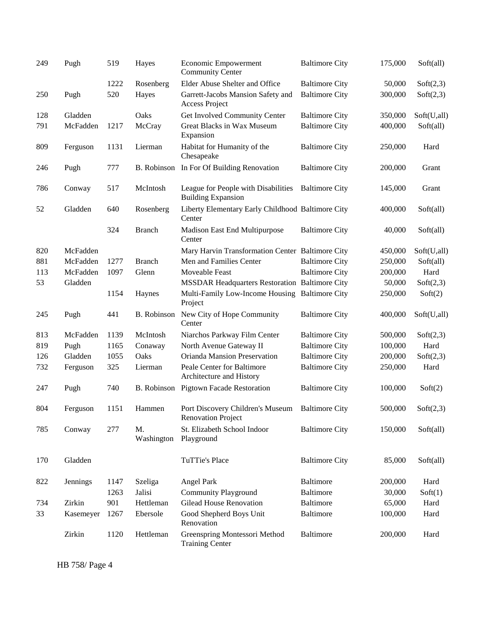| 249 | Pugh      | 519  | Hayes              | <b>Economic Empowerment</b><br><b>Community Center</b>           | <b>Baltimore City</b> | 175,000 | Soft(all)   |
|-----|-----------|------|--------------------|------------------------------------------------------------------|-----------------------|---------|-------------|
|     |           | 1222 | Rosenberg          | Elder Abuse Shelter and Office                                   | <b>Baltimore City</b> | 50,000  | Soft(2,3)   |
| 250 | Pugh      | 520  | Hayes              | Garrett-Jacobs Mansion Safety and<br>Access Project              | <b>Baltimore City</b> | 300,000 | Soft(2,3)   |
| 128 | Gladden   |      | Oaks               | Get Involved Community Center                                    | <b>Baltimore City</b> | 350,000 | Soft(U,all) |
| 791 | McFadden  | 1217 | McCray             | Great Blacks in Wax Museum<br>Expansion                          | <b>Baltimore City</b> | 400,000 | Soft(all)   |
| 809 | Ferguson  | 1131 | Lierman            | Habitat for Humanity of the<br>Chesapeake                        | <b>Baltimore City</b> | 250,000 | Hard        |
| 246 | Pugh      | 777  | <b>B.</b> Robinson | In For Of Building Renovation                                    | <b>Baltimore City</b> | 200,000 | Grant       |
| 786 | Conway    | 517  | McIntosh           | League for People with Disabilities<br><b>Building Expansion</b> | <b>Baltimore City</b> | 145,000 | Grant       |
| 52  | Gladden   | 640  | Rosenberg          | Liberty Elementary Early Childhood Baltimore City<br>Center      |                       | 400,000 | Soft(all)   |
|     |           | 324  | <b>Branch</b>      | Madison East End Multipurpose<br>Center                          | <b>Baltimore City</b> | 40,000  | Soft(all)   |
| 820 | McFadden  |      |                    | Mary Harvin Transformation Center Baltimore City                 |                       | 450,000 | Soft(U,all) |
| 881 | McFadden  | 1277 | <b>Branch</b>      | Men and Families Center                                          | <b>Baltimore City</b> | 250,000 | Soft(all)   |
| 113 | McFadden  | 1097 | Glenn              | Moveable Feast                                                   | <b>Baltimore City</b> | 200,000 | Hard        |
| 53  | Gladden   |      |                    | <b>MSSDAR Headquarters Restoration Baltimore City</b>            |                       | 50,000  | Soft(2,3)   |
|     |           | 1154 | Haynes             | Multi-Family Low-Income Housing Baltimore City<br>Project        |                       | 250,000 | Soft(2)     |
| 245 | Pugh      | 441  | B. Robinson        | New City of Hope Community<br>Center                             | <b>Baltimore City</b> | 400,000 | Soft(U,all) |
| 813 | McFadden  | 1139 | McIntosh           | Niarchos Parkway Film Center                                     | <b>Baltimore City</b> | 500,000 | Soft(2,3)   |
| 819 | Pugh      | 1165 | Conaway            | North Avenue Gateway II                                          | <b>Baltimore City</b> | 100,000 | Hard        |
| 126 | Gladden   | 1055 | Oaks               | Orianda Mansion Preservation                                     | <b>Baltimore City</b> | 200,000 | Soft(2,3)   |
| 732 | Ferguson  | 325  | Lierman            | Peale Center for Baltimore<br>Architecture and History           | <b>Baltimore City</b> | 250,000 | Hard        |
| 247 | Pugh      | 740  | B. Robinson        | <b>Pigtown Facade Restoration</b>                                | <b>Baltimore City</b> | 100,000 | Soft(2)     |
| 804 | Ferguson  | 1151 | Hammen             | Port Discovery Children's Museum<br><b>Renovation Project</b>    | <b>Baltimore City</b> | 500,000 | Soft(2,3)   |
| 785 | Conway    | 277  | M.<br>Washington   | St. Elizabeth School Indoor<br>Playground                        | <b>Baltimore City</b> | 150,000 | Soft(all)   |
| 170 | Gladden   |      |                    | TuTTie's Place                                                   | <b>Baltimore City</b> | 85,000  | Soft(all)   |
| 822 | Jennings  | 1147 | Szeliga            | Angel Park                                                       | <b>Baltimore</b>      | 200,000 | Hard        |
|     |           | 1263 | Jalisi             | <b>Community Playground</b>                                      | <b>Baltimore</b>      | 30,000  | Soft(1)     |
| 734 | Zirkin    | 901  | Hettleman          | <b>Gilead House Renovation</b>                                   | Baltimore             | 65,000  | Hard        |
| 33  | Kasemeyer | 1267 | Ebersole           | Good Shepherd Boys Unit<br>Renovation                            | <b>Baltimore</b>      | 100,000 | Hard        |
|     | Zirkin    | 1120 | Hettleman          | Greenspring Montessori Method<br><b>Training Center</b>          | <b>Baltimore</b>      | 200,000 | Hard        |

HB 758/ Page 4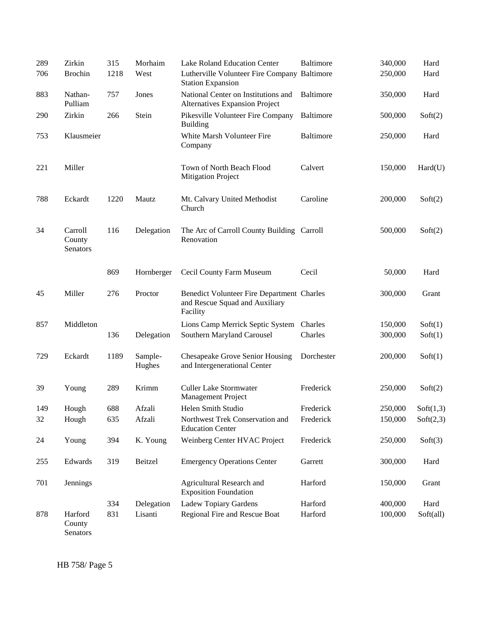| 289 | Zirkin                        | 315  | Morhaim           | Lake Roland Education Center                                                             | Baltimore        | 340,000 | Hard      |
|-----|-------------------------------|------|-------------------|------------------------------------------------------------------------------------------|------------------|---------|-----------|
| 706 | <b>Brochin</b>                | 1218 | West              | Lutherville Volunteer Fire Company Baltimore<br><b>Station Expansion</b>                 |                  | 250,000 | Hard      |
| 883 | Nathan-<br>Pulliam            | 757  | Jones             | National Center on Institutions and<br><b>Alternatives Expansion Project</b>             | <b>Baltimore</b> | 350,000 | Hard      |
| 290 | Zirkin                        | 266  | Stein             | Pikesville Volunteer Fire Company<br><b>Building</b>                                     | Baltimore        | 500,000 | Soft(2)   |
| 753 | Klausmeier                    |      |                   | White Marsh Volunteer Fire<br>Company                                                    | Baltimore        | 250,000 | Hard      |
| 221 | Miller                        |      |                   | Town of North Beach Flood<br><b>Mitigation Project</b>                                   | Calvert          | 150,000 | Hard(U)   |
| 788 | Eckardt                       | 1220 | Mautz             | Mt. Calvary United Methodist<br>Church                                                   | Caroline         | 200,000 | Soft(2)   |
| 34  | Carroll<br>County<br>Senators | 116  | Delegation        | The Arc of Carroll County Building Carroll<br>Renovation                                 |                  | 500,000 | Soft(2)   |
|     |                               | 869  | Hornberger        | Cecil County Farm Museum                                                                 | Cecil            | 50,000  | Hard      |
| 45  | Miller                        | 276  | Proctor           | Benedict Volunteer Fire Department Charles<br>and Rescue Squad and Auxiliary<br>Facility |                  | 300,000 | Grant     |
| 857 | Middleton                     |      |                   | Lions Camp Merrick Septic System                                                         | Charles          | 150,000 | Soft(1)   |
|     |                               | 136  | Delegation        | Southern Maryland Carousel                                                               | Charles          | 300,000 | Soft(1)   |
| 729 | Eckardt                       | 1189 | Sample-<br>Hughes | <b>Chesapeake Grove Senior Housing</b><br>and Intergenerational Center                   | Dorchester       | 200,000 | Soft(1)   |
| 39  | Young                         | 289  | Krimm             | <b>Culler Lake Stormwater</b><br>Management Project                                      | Frederick        | 250,000 | Soft(2)   |
| 149 | Hough                         | 688  | Afzali            | Helen Smith Studio                                                                       | Frederick        | 250,000 | Soft(1,3) |
| 32  | Hough                         | 635  | Afzali            | Northwest Trek Conservation and<br><b>Education Center</b>                               | Frederick        | 150,000 | Soft(2,3) |
| 24  | Young                         | 394  | K. Young          | Weinberg Center HVAC Project                                                             | Frederick        | 250,000 | Soft(3)   |
| 255 | Edwards                       | 319  | Beitzel           | <b>Emergency Operations Center</b>                                                       | Garrett          | 300,000 | Hard      |
| 701 | Jennings                      |      |                   | Agricultural Research and<br><b>Exposition Foundation</b>                                | Harford          | 150,000 | Grant     |
|     |                               | 334  | Delegation        | Ladew Topiary Gardens                                                                    | Harford          | 400,000 | Hard      |
| 878 | Harford<br>County<br>Senators | 831  | Lisanti           | Regional Fire and Rescue Boat                                                            | Harford          | 100,000 | Soft(all) |

HB 758/ Page 5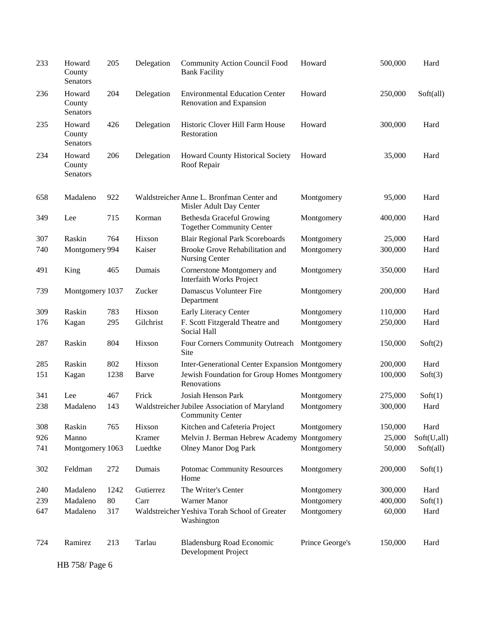| 233 | Howard<br>County<br>Senators | 205  | Delegation | <b>Community Action Council Food</b><br><b>Bank Facility</b>             | Howard          | 500,000 | Hard        |
|-----|------------------------------|------|------------|--------------------------------------------------------------------------|-----------------|---------|-------------|
| 236 | Howard<br>County<br>Senators | 204  | Delegation | <b>Environmental Education Center</b><br>Renovation and Expansion        | Howard          | 250,000 | Soft(all)   |
| 235 | Howard<br>County<br>Senators | 426  | Delegation | Historic Clover Hill Farm House<br>Restoration                           | Howard          | 300,000 | Hard        |
| 234 | Howard<br>County<br>Senators | 206  | Delegation | Howard County Historical Society<br>Roof Repair                          | Howard          | 35,000  | Hard        |
| 658 | Madaleno                     | 922  |            | Waldstreicher Anne L. Bronfman Center and<br>Misler Adult Day Center     | Montgomery      | 95,000  | Hard        |
| 349 | Lee                          | 715  | Korman     | Bethesda Graceful Growing<br><b>Together Community Center</b>            | Montgomery      | 400,000 | Hard        |
| 307 | Raskin                       | 764  | Hixson     | <b>Blair Regional Park Scoreboards</b>                                   | Montgomery      | 25,000  | Hard        |
| 740 | Montgomery 994               |      | Kaiser     | Brooke Grove Rehabilitation and<br>Nursing Center                        | Montgomery      | 300,000 | Hard        |
| 491 | King                         | 465  | Dumais     | Cornerstone Montgomery and<br><b>Interfaith Works Project</b>            | Montgomery      | 350,000 | Hard        |
| 739 | Montgomery 1037              |      | Zucker     | Damascus Volunteer Fire<br>Department                                    | Montgomery      | 200,000 | Hard        |
| 309 | Raskin                       | 783  | Hixson     | Early Literacy Center                                                    | Montgomery      | 110,000 | Hard        |
| 176 | Kagan                        | 295  | Gilchrist  | F. Scott Fitzgerald Theatre and<br>Social Hall                           | Montgomery      | 250,000 | Hard        |
| 287 | Raskin                       | 804  | Hixson     | Four Corners Community Outreach Montgomery<br><b>Site</b>                |                 | 150,000 | Soft(2)     |
| 285 | Raskin                       | 802  | Hixson     | Inter-Generational Center Expansion Montgomery                           |                 | 200,000 | Hard        |
| 151 | Kagan                        | 1238 | Barve      | Jewish Foundation for Group Homes Montgomery<br>Renovations              |                 | 100,000 | Soft(3)     |
| 341 | Lee                          | 467  | Frick      | Josiah Henson Park                                                       | Montgomery      | 275,000 | Soft(1)     |
| 238 | Madaleno                     | 143  |            | Waldstreicher Jubilee Association of Maryland<br><b>Community Center</b> | Montgomery      | 300,000 | Hard        |
| 308 | Raskin                       | 765  | Hixson     | Kitchen and Cafeteria Project                                            | Montgomery      | 150,000 | Hard        |
| 926 | Manno                        |      | Kramer     | Melvin J. Berman Hebrew Academy Montgomery                               |                 | 25,000  | Soft(U,all) |
| 741 | Montgomery 1063              |      | Luedtke    | <b>Olney Manor Dog Park</b>                                              | Montgomery      | 50,000  | Soft(all)   |
| 302 | Feldman                      | 272  | Dumais     | <b>Potomac Community Resources</b><br>Home                               | Montgomery      | 200,000 | Soft(1)     |
| 240 | Madaleno                     | 1242 | Gutierrez  | The Writer's Center                                                      | Montgomery      | 300,000 | Hard        |
| 239 | Madaleno                     | 80   | Carr       | Warner Manor                                                             | Montgomery      | 400,000 | Soft(1)     |
| 647 | Madaleno                     | 317  |            | Waldstreicher Yeshiva Torah School of Greater<br>Washington              | Montgomery      | 60,000  | Hard        |
| 724 | Ramirez                      | 213  | Tarlau     | <b>Bladensburg Road Economic</b><br>Development Project                  | Prince George's | 150,000 | Hard        |
|     | HB 758/ Page 6               |      |            |                                                                          |                 |         |             |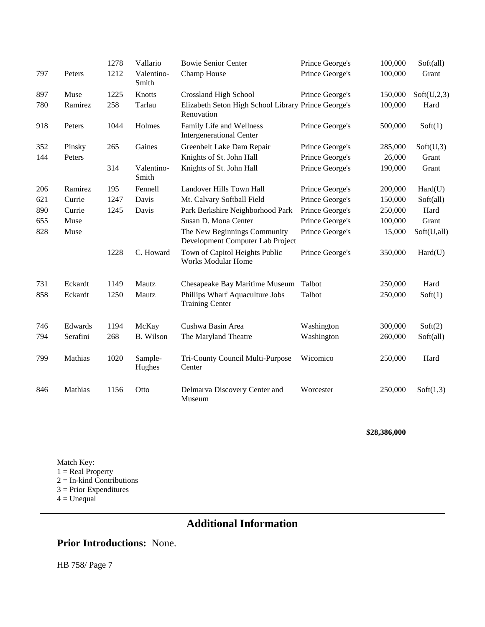|     |          | 1278 | Vallario            | <b>Bowie Senior Center</b>                                        | Prince George's | 100,000 | Soft(all)   |
|-----|----------|------|---------------------|-------------------------------------------------------------------|-----------------|---------|-------------|
| 797 | Peters   | 1212 | Valentino-<br>Smith | Champ House                                                       | Prince George's | 100,000 | Grant       |
| 897 | Muse     | 1225 | Knotts              | <b>Crossland High School</b>                                      | Prince George's | 150,000 | Soft(U,2,3) |
| 780 | Ramirez  | 258  | Tarlau              | Elizabeth Seton High School Library Prince George's<br>Renovation |                 | 100,000 | Hard        |
| 918 | Peters   | 1044 | Holmes              | Family Life and Wellness<br><b>Intergenerational Center</b>       | Prince George's | 500,000 | Soft(1)     |
| 352 | Pinsky   | 265  | Gaines              | Greenbelt Lake Dam Repair                                         | Prince George's | 285,000 | Soft(U,3)   |
| 144 | Peters   |      |                     | Knights of St. John Hall                                          | Prince George's | 26,000  | Grant       |
|     |          | 314  | Valentino-<br>Smith | Knights of St. John Hall                                          | Prince George's | 190,000 | Grant       |
| 206 | Ramirez  | 195  | Fennell             | Landover Hills Town Hall                                          | Prince George's | 200,000 | Hard(U)     |
| 621 | Currie   | 1247 | Davis               | Mt. Calvary Softball Field                                        | Prince George's | 150,000 | Soft(all)   |
| 890 | Currie   | 1245 | Davis               | Park Berkshire Neighborhood Park                                  | Prince George's | 250,000 | Hard        |
| 655 | Muse     |      |                     | Susan D. Mona Center                                              | Prince George's | 100,000 | Grant       |
| 828 | Muse     |      |                     | The New Beginnings Community<br>Development Computer Lab Project  | Prince George's | 15,000  | Soft(U,all) |
|     |          | 1228 | C. Howard           | Town of Capitol Heights Public<br><b>Works Modular Home</b>       | Prince George's | 350,000 | Hard(U)     |
| 731 | Eckardt  | 1149 | Mautz               | Chesapeake Bay Maritime Museum                                    | Talbot          | 250,000 | Hard        |
| 858 | Eckardt  | 1250 | Mautz               | Phillips Wharf Aquaculture Jobs<br><b>Training Center</b>         | Talbot          | 250,000 | Soft(1)     |
| 746 | Edwards  | 1194 | McKay               | Cushwa Basin Area                                                 | Washington      | 300,000 | Soft(2)     |
| 794 | Serafini | 268  | B. Wilson           | The Maryland Theatre                                              | Washington      | 260,000 | Soft(all)   |
| 799 | Mathias  | 1020 | Sample-<br>Hughes   | Tri-County Council Multi-Purpose<br>Center                        | Wicomico        | 250,000 | Hard        |
| 846 | Mathias  | 1156 | Otto                | Delmarva Discovery Center and<br>Museum                           | Worcester       | 250,000 | Soft(1,3)   |

**\$28,386,000**

Match Key:  $1 = Real Property$  $2 =$  In-kind Contributions 3 = Prior Expenditures  $4 = Unequal$ 

# **Additional Information**

### **Prior Introductions:** None.

HB 758/ Page 7